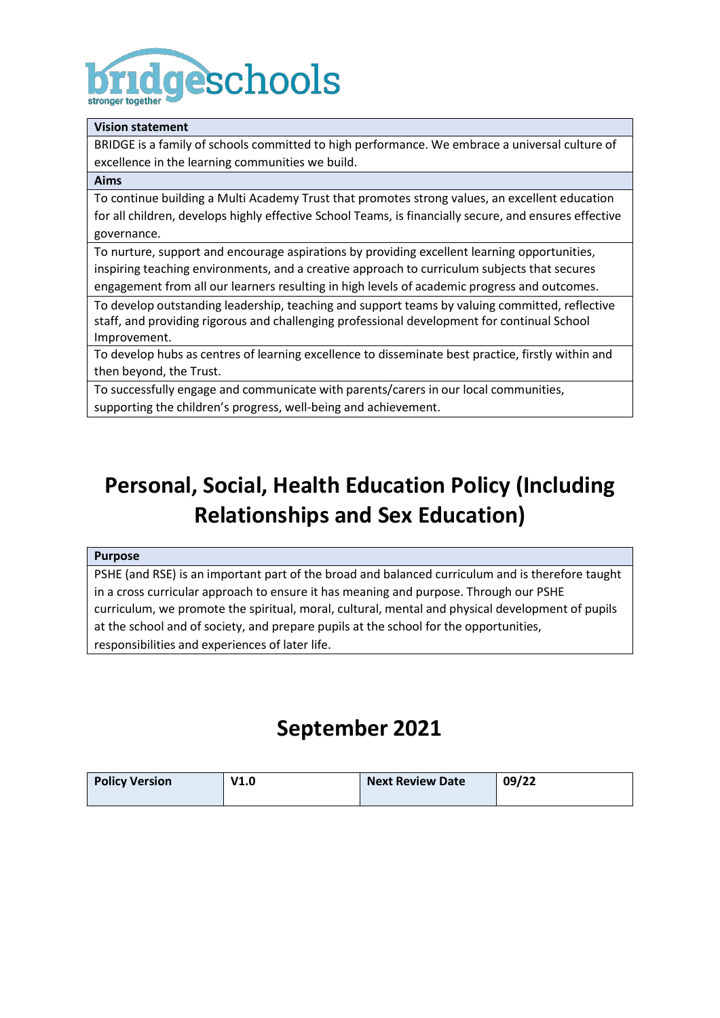# **ridgeschools**

#### **Vision statement**

BRIDGE is a family of schools committed to high performance. We embrace a universal culture of excellence in the learning communities we build.

#### **Aims**

To continue building a Multi Academy Trust that promotes strong values, an excellent education for all children, develops highly effective School Teams, is financially secure, and ensures effective governance.

To nurture, support and encourage aspirations by providing excellent learning opportunities, inspiring teaching environments, and a creative approach to curriculum subjects that secures engagement from all our learners resulting in high levels of academic progress and outcomes.

To develop outstanding leadership, teaching and support teams by valuing committed, reflective staff, and providing rigorous and challenging professional development for continual School Improvement.

To develop hubs as centres of learning excellence to disseminate best practice, firstly within and then beyond, the Trust.

To successfully engage and communicate with parents/carers in our local communities, supporting the children's progress, well-being and achievement.

## **Personal, Social, Health Education Policy (Including Relationships and Sex Education)**

#### **Purpose**

PSHE (and RSE) is an important part of the broad and balanced curriculum and is therefore taught in a cross curricular approach to ensure it has meaning and purpose. Through our PSHE curriculum, we promote the spiritual, moral, cultural, mental and physical development of pupils at the school and of society, and prepare pupils at the school for the opportunities, responsibilities and experiences of later life.

## **September 2021**

| <b>Policy Version</b> | V1.0 | <b>Next Review Date</b> | 09/22 |
|-----------------------|------|-------------------------|-------|
|                       |      |                         |       |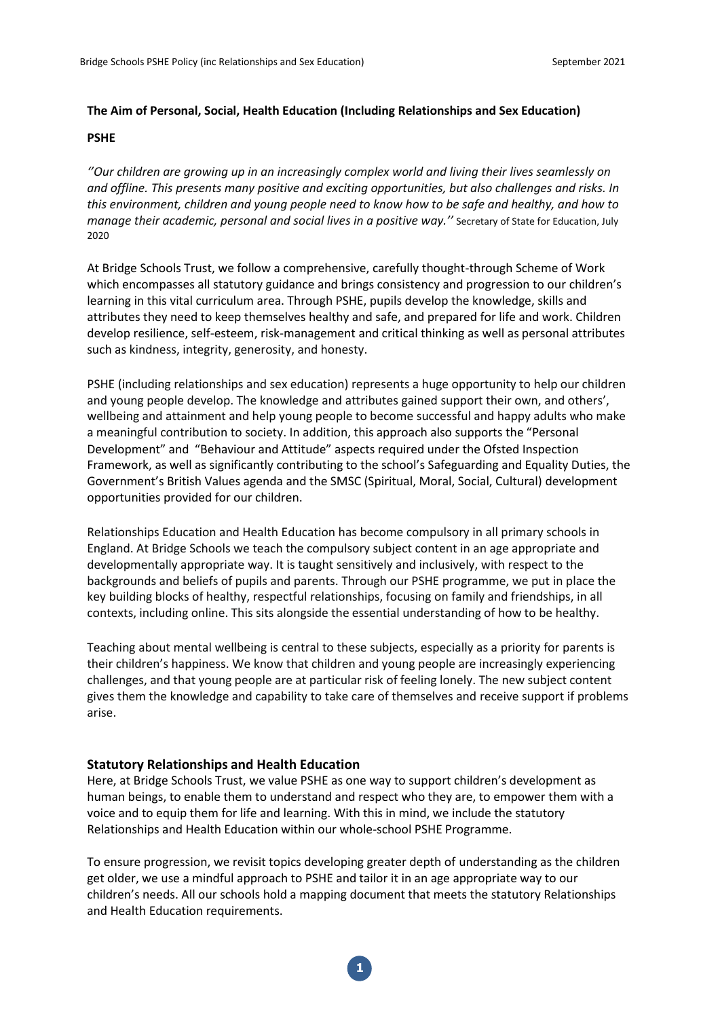#### **The Aim of Personal, Social, Health Education (Including Relationships and Sex Education)**

#### **PSHE**

*''Our children are growing up in an increasingly complex world and living their lives seamlessly on and offline. This presents many positive and exciting opportunities, but also challenges and risks. In this environment, children and young people need to know how to be safe and healthy, and how to manage their academic, personal and social lives in a positive way.''* Secretary of State for Education, July 2020

At Bridge Schools Trust, we follow a comprehensive, carefully thought-through Scheme of Work which encompasses all statutory guidance and brings consistency and progression to our children's learning in this vital curriculum area. Through PSHE, pupils develop the knowledge, skills and attributes they need to keep themselves healthy and safe, and prepared for life and work. Children develop resilience, self-esteem, risk-management and critical thinking as well as personal attributes such as kindness, integrity, generosity, and honesty.

PSHE (including relationships and sex education) represents a huge opportunity to help our children and young people develop. The knowledge and attributes gained support their own, and others', wellbeing and attainment and help young people to become successful and happy adults who make a meaningful contribution to society. In addition, this approach also supports the "Personal Development" and "Behaviour and Attitude" aspects required under the Ofsted Inspection Framework, as well as significantly contributing to the school's Safeguarding and Equality Duties, the Government's British Values agenda and the SMSC (Spiritual, Moral, Social, Cultural) development opportunities provided for our children.

Relationships Education and Health Education has become compulsory in all primary schools in England. At Bridge Schools we teach the compulsory subject content in an age appropriate and developmentally appropriate way. It is taught sensitively and inclusively, with respect to the backgrounds and beliefs of pupils and parents. Through our PSHE programme, we put in place the key building blocks of healthy, respectful relationships, focusing on family and friendships, in all contexts, including online. This sits alongside the essential understanding of how to be healthy.

Teaching about mental wellbeing is central to these subjects, especially as a priority for parents is their children's happiness. We know that children and young people are increasingly experiencing challenges, and that young people are at particular risk of feeling lonely. The new subject content gives them the knowledge and capability to take care of themselves and receive support if problems arise.

#### **Statutory Relationships and Health Education**

Here, at Bridge Schools Trust, we value PSHE as one way to support children's development as human beings, to enable them to understand and respect who they are, to empower them with a voice and to equip them for life and learning. With this in mind, we include the statutory Relationships and Health Education within our whole-school PSHE Programme.

To ensure progression, we revisit topics developing greater depth of understanding as the children get older, we use a mindful approach to PSHE and tailor it in an age appropriate way to our children's needs. All our schools hold a mapping document that meets the statutory Relationships and Health Education requirements.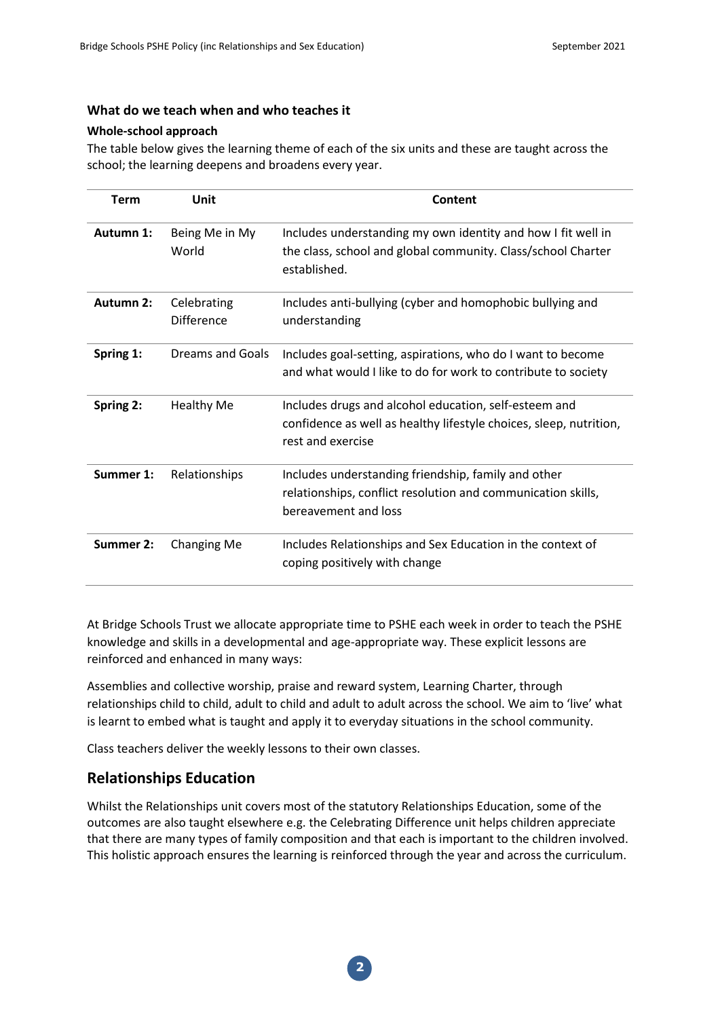#### **What do we teach when and who teaches it**

#### **Whole-school approach**

The table below gives the learning theme of each of the six units and these are taught across the school; the learning deepens and broadens every year.

| <b>Term</b> | Unit                             | Content                                                                                                                                          |
|-------------|----------------------------------|--------------------------------------------------------------------------------------------------------------------------------------------------|
| Autumn 1:   | Being Me in My<br>World          | Includes understanding my own identity and how I fit well in<br>the class, school and global community. Class/school Charter<br>established.     |
| Autumn 2:   | Celebrating<br><b>Difference</b> | Includes anti-bullying (cyber and homophobic bullying and<br>understanding                                                                       |
| Spring 1:   | <b>Dreams and Goals</b>          | Includes goal-setting, aspirations, who do I want to become<br>and what would I like to do for work to contribute to society                     |
| Spring 2:   | <b>Healthy Me</b>                | Includes drugs and alcohol education, self-esteem and<br>confidence as well as healthy lifestyle choices, sleep, nutrition,<br>rest and exercise |
| Summer 1:   | Relationships                    | Includes understanding friendship, family and other<br>relationships, conflict resolution and communication skills,<br>bereavement and loss      |
| Summer 2:   | Changing Me                      | Includes Relationships and Sex Education in the context of<br>coping positively with change                                                      |

At Bridge Schools Trust we allocate appropriate time to PSHE each week in order to teach the PSHE knowledge and skills in a developmental and age-appropriate way. These explicit lessons are reinforced and enhanced in many ways:

Assemblies and collective worship, praise and reward system, Learning Charter, through relationships child to child, adult to child and adult to adult across the school. We aim to 'live' what is learnt to embed what is taught and apply it to everyday situations in the school community.

Class teachers deliver the weekly lessons to their own classes.

#### **Relationships Education**

Whilst the Relationships unit covers most of the statutory Relationships Education, some of the outcomes are also taught elsewhere e.g. the Celebrating Difference unit helps children appreciate that there are many types of family composition and that each is important to the children involved. This holistic approach ensures the learning is reinforced through the year and across the curriculum.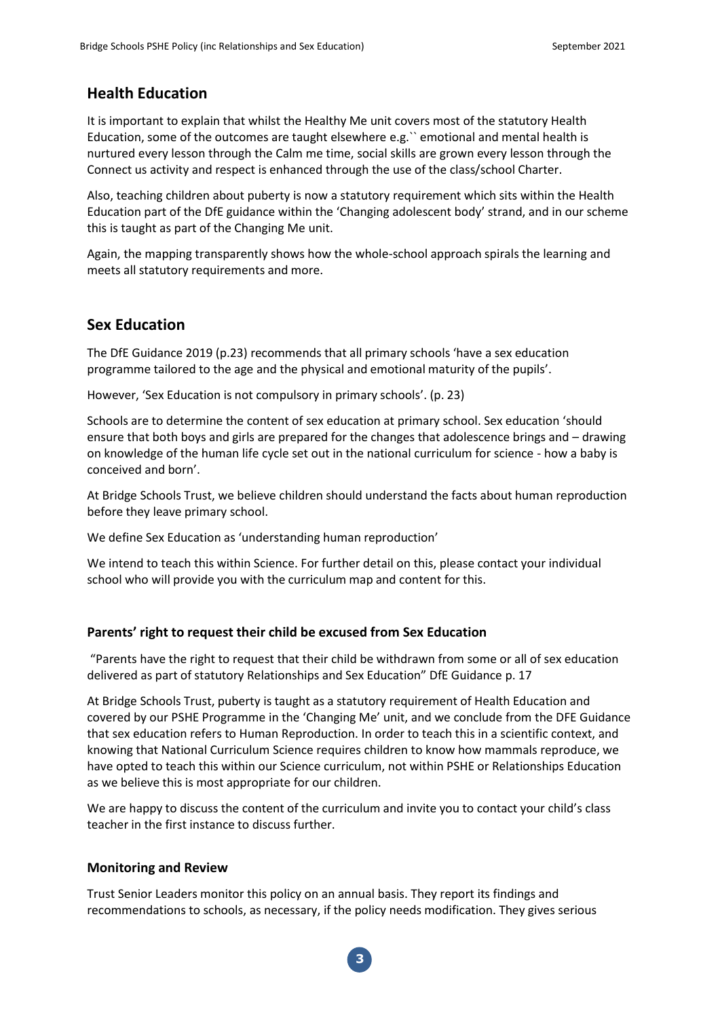#### **Health Education**

It is important to explain that whilst the Healthy Me unit covers most of the statutory Health Education, some of the outcomes are taught elsewhere e.g.`` emotional and mental health is nurtured every lesson through the Calm me time, social skills are grown every lesson through the Connect us activity and respect is enhanced through the use of the class/school Charter.

Also, teaching children about puberty is now a statutory requirement which sits within the Health Education part of the DfE guidance within the 'Changing adolescent body' strand, and in our scheme this is taught as part of the Changing Me unit.

Again, the mapping transparently shows how the whole-school approach spirals the learning and meets all statutory requirements and more.

#### **Sex Education**

The DfE Guidance 2019 (p.23) recommends that all primary schools 'have a sex education programme tailored to the age and the physical and emotional maturity of the pupils'.

However, 'Sex Education is not compulsory in primary schools'. (p. 23)

Schools are to determine the content of sex education at primary school. Sex education 'should ensure that both boys and girls are prepared for the changes that adolescence brings and – drawing on knowledge of the human life cycle set out in the national curriculum for science - how a baby is conceived and born'.

At Bridge Schools Trust, we believe children should understand the facts about human reproduction before they leave primary school.

We define Sex Education as 'understanding human reproduction'

We intend to teach this within Science. For further detail on this, please contact your individual school who will provide you with the curriculum map and content for this.

#### **Parents' right to request their child be excused from Sex Education**

"Parents have the right to request that their child be withdrawn from some or all of sex education delivered as part of statutory Relationships and Sex Education" DfE Guidance p. 17

At Bridge Schools Trust, puberty is taught as a statutory requirement of Health Education and covered by our PSHE Programme in the 'Changing Me' unit, and we conclude from the DFE Guidance that sex education refers to Human Reproduction. In order to teach this in a scientific context, and knowing that National Curriculum Science requires children to know how mammals reproduce, we have opted to teach this within our Science curriculum, not within PSHE or Relationships Education as we believe this is most appropriate for our children.

We are happy to discuss the content of the curriculum and invite you to contact your child's class teacher in the first instance to discuss further.

#### **Monitoring and Review**

Trust Senior Leaders monitor this policy on an annual basis. They report its findings and recommendations to schools, as necessary, if the policy needs modification. They gives serious